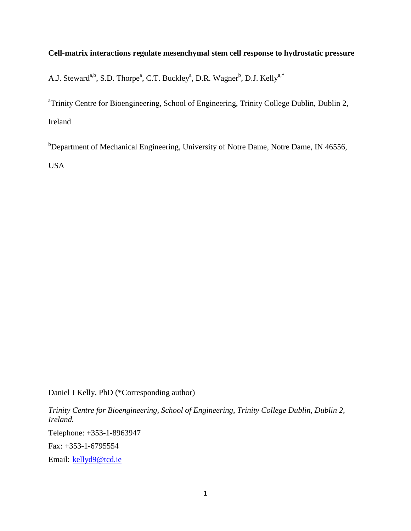# **Cell-matrix interactions regulate mesenchymal stem cell response to hydrostatic pressure**

A.J. Steward<sup>a,b</sup>, S.D. Thorpe<sup>a</sup>, C.T. Buckley<sup>a</sup>, D.R. Wagner<sup>b</sup>, D.J. Kelly<sup>a,\*</sup>

<sup>a</sup>Trinity Centre for Bioengineering, School of Engineering, Trinity College Dublin, Dublin 2, Ireland

<sup>b</sup>Department of Mechanical Engineering, University of Notre Dame, Notre Dame, IN 46556, USA

Daniel J Kelly, PhD (\*Corresponding author)

*Trinity Centre for Bioengineering, School of Engineering, Trinity College Dublin, Dublin 2, Ireland.*  Telephone: +353-1-8963947 Fax: +353-1-6795554 Email: [kellyd9@tcd.ie](mailto:kellyd9@tcd.ie)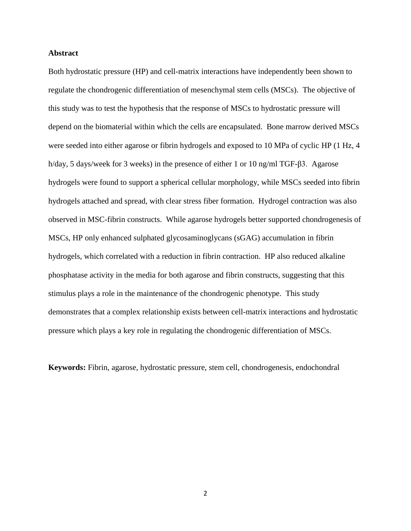### **Abstract**

Both hydrostatic pressure (HP) and cell-matrix interactions have independently been shown to regulate the chondrogenic differentiation of mesenchymal stem cells (MSCs). The objective of this study was to test the hypothesis that the response of MSCs to hydrostatic pressure will depend on the biomaterial within which the cells are encapsulated. Bone marrow derived MSCs were seeded into either agarose or fibrin hydrogels and exposed to 10 MPa of cyclic HP (1 Hz, 4 h/day, 5 days/week for 3 weeks) in the presence of either 1 or 10 ng/ml TGF-β3. Agarose hydrogels were found to support a spherical cellular morphology, while MSCs seeded into fibrin hydrogels attached and spread, with clear stress fiber formation. Hydrogel contraction was also observed in MSC-fibrin constructs. While agarose hydrogels better supported chondrogenesis of MSCs, HP only enhanced sulphated glycosaminoglycans (sGAG) accumulation in fibrin hydrogels, which correlated with a reduction in fibrin contraction. HP also reduced alkaline phosphatase activity in the media for both agarose and fibrin constructs, suggesting that this stimulus plays a role in the maintenance of the chondrogenic phenotype. This study demonstrates that a complex relationship exists between cell-matrix interactions and hydrostatic pressure which plays a key role in regulating the chondrogenic differentiation of MSCs.

**Keywords:** Fibrin, agarose, hydrostatic pressure, stem cell, chondrogenesis, endochondral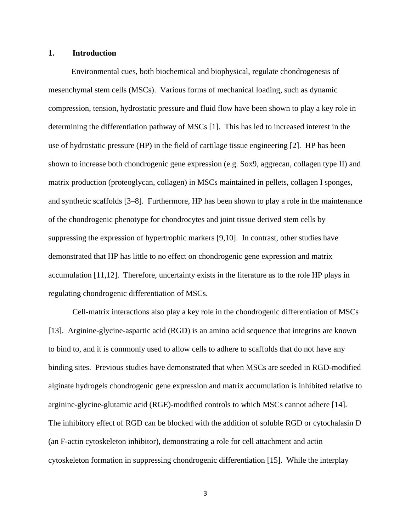### **1. Introduction**

Environmental cues, both biochemical and biophysical, regulate chondrogenesis of mesenchymal stem cells (MSCs). Various forms of mechanical loading, such as dynamic compression, tension, hydrostatic pressure and fluid flow have been shown to play a key role in determining the differentiation pathway of MSCs [1]. This has led to increased interest in the use of hydrostatic pressure (HP) in the field of cartilage tissue engineering [2]. HP has been shown to increase both chondrogenic gene expression (e.g. Sox9, aggrecan, collagen type II) and matrix production (proteoglycan, collagen) in MSCs maintained in pellets, collagen I sponges, and synthetic scaffolds [3–8]. Furthermore, HP has been shown to play a role in the maintenance of the chondrogenic phenotype for chondrocytes and joint tissue derived stem cells by suppressing the expression of hypertrophic markers [9,10]. In contrast, other studies have demonstrated that HP has little to no effect on chondrogenic gene expression and matrix accumulation [11,12]. Therefore, uncertainty exists in the literature as to the role HP plays in regulating chondrogenic differentiation of MSCs.

Cell-matrix interactions also play a key role in the chondrogenic differentiation of MSCs [13]. Arginine-glycine-aspartic acid (RGD) is an amino acid sequence that integrins are known to bind to, and it is commonly used to allow cells to adhere to scaffolds that do not have any binding sites. Previous studies have demonstrated that when MSCs are seeded in RGD-modified alginate hydrogels chondrogenic gene expression and matrix accumulation is inhibited relative to arginine-glycine-glutamic acid (RGE)-modified controls to which MSCs cannot adhere [14]. The inhibitory effect of RGD can be blocked with the addition of soluble RGD or cytochalasin D (an F-actin cytoskeleton inhibitor), demonstrating a role for cell attachment and actin cytoskeleton formation in suppressing chondrogenic differentiation [15]. While the interplay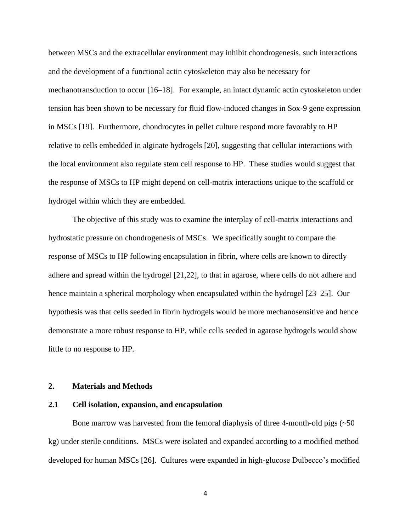between MSCs and the extracellular environment may inhibit chondrogenesis, such interactions and the development of a functional actin cytoskeleton may also be necessary for mechanotransduction to occur [16–18]. For example, an intact dynamic actin cytoskeleton under tension has been shown to be necessary for fluid flow-induced changes in Sox-9 gene expression in MSCs [19]. Furthermore, chondrocytes in pellet culture respond more favorably to HP relative to cells embedded in alginate hydrogels [20], suggesting that cellular interactions with the local environment also regulate stem cell response to HP. These studies would suggest that the response of MSCs to HP might depend on cell-matrix interactions unique to the scaffold or hydrogel within which they are embedded.

The objective of this study was to examine the interplay of cell-matrix interactions and hydrostatic pressure on chondrogenesis of MSCs. We specifically sought to compare the response of MSCs to HP following encapsulation in fibrin, where cells are known to directly adhere and spread within the hydrogel [21,22], to that in agarose, where cells do not adhere and hence maintain a spherical morphology when encapsulated within the hydrogel [23–25]. Our hypothesis was that cells seeded in fibrin hydrogels would be more mechanosensitive and hence demonstrate a more robust response to HP, while cells seeded in agarose hydrogels would show little to no response to HP.

## **2. Materials and Methods**

#### **2.1 Cell isolation, expansion, and encapsulation**

Bone marrow was harvested from the femoral diaphysis of three 4-month-old pigs  $(\sim 50$ kg) under sterile conditions. MSCs were isolated and expanded according to a modified method developed for human MSCs [26]. Cultures were expanded in high-glucose Dulbecco's modified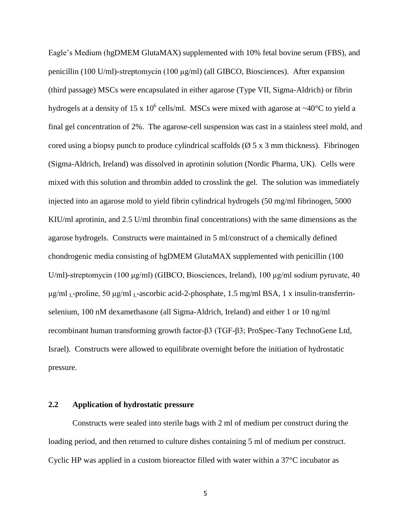Eagle's Medium (hgDMEM GlutaMAX) supplemented with 10% fetal bovine serum (FBS), and penicillin (100 U/ml)-streptomycin (100 μg/ml) (all GIBCO, Biosciences). After expansion (third passage) MSCs were encapsulated in either agarose (Type VII, Sigma-Aldrich) or fibrin hydrogels at a density of 15 x 10<sup>6</sup> cells/ml. MSCs were mixed with agarose at  $\sim$ 40°C to yield a final gel concentration of 2%. The agarose-cell suspension was cast in a stainless steel mold, and cored using a biopsy punch to produce cylindrical scaffolds  $(\emptyset$  5 x 3 mm thickness). Fibrinogen (Sigma-Aldrich, Ireland) was dissolved in aprotinin solution (Nordic Pharma, UK). Cells were mixed with this solution and thrombin added to crosslink the gel. The solution was immediately injected into an agarose mold to yield fibrin cylindrical hydrogels (50 mg/ml fibrinogen, 5000 KIU/ml aprotinin, and 2.5 U/ml thrombin final concentrations) with the same dimensions as the agarose hydrogels. Constructs were maintained in 5 ml/construct of a chemically defined chondrogenic media consisting of hgDMEM GlutaMAX supplemented with penicillin (100 U/ml)-streptomycin (100 μg/ml) (GIBCO, Biosciences, Ireland), 100 μg/ml sodium pyruvate, 40 μg/ml <sub>L</sub>-proline, 50 μg/ml <sub>L</sub>-ascorbic acid-2-phosphate, 1.5 mg/ml BSA, 1 x insulin-transferrinselenium, 100 nM dexamethasone (all Sigma-Aldrich, Ireland) and either 1 or 10 ng/ml recombinant human transforming growth factor-β3 (TGF-β3; ProSpec-Tany TechnoGene Ltd, Israel). Constructs were allowed to equilibrate overnight before the initiation of hydrostatic pressure.

#### **2.2 Application of hydrostatic pressure**

Constructs were sealed into sterile bags with 2 ml of medium per construct during the loading period, and then returned to culture dishes containing 5 ml of medium per construct. Cyclic HP was applied in a custom bioreactor filled with water within a 37°C incubator as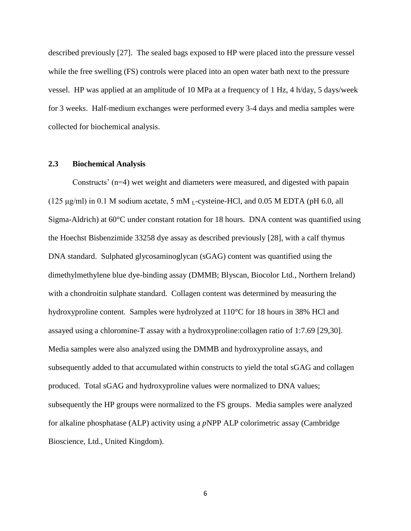described previously [27]. The sealed bags exposed to HP were placed into the pressure vessel while the free swelling (FS) controls were placed into an open water bath next to the pressure vessel. HP was applied at an amplitude of 10 MPa at a frequency of 1 Hz, 4 h/day, 5 days/week for 3 weeks. Half-medium exchanges were performed every 3-4 days and media samples were collected for biochemical analysis.

## **2.3 Biochemical Analysis**

Constructs' (n=4) wet weight and diameters were measured, and digested with papain (125  $\mu$ g/ml) in 0.1 M sodium acetate, 5 mM <sub>L</sub>-cysteine-HCl, and 0.05 M EDTA (pH 6.0, all Sigma-Aldrich) at 60°C under constant rotation for 18 hours. DNA content was quantified using the Hoechst Bisbenzimide 33258 dye assay as described previously [28], with a calf thymus DNA standard. Sulphated glycosaminoglycan (sGAG) content was quantified using the dimethylmethylene blue dye-binding assay (DMMB; Blyscan, Biocolor Ltd., Northern Ireland) with a chondroitin sulphate standard. Collagen content was determined by measuring the hydroxyproline content. Samples were hydrolyzed at 110°C for 18 hours in 38% HCl and assayed using a chloromine-T assay with a hydroxyproline:collagen ratio of 1:7.69 [29,30]. Media samples were also analyzed using the DMMB and hydroxyproline assays, and subsequently added to that accumulated within constructs to yield the total sGAG and collagen produced. Total sGAG and hydroxyproline values were normalized to DNA values; subsequently the HP groups were normalized to the FS groups. Media samples were analyzed for alkaline phosphatase (ALP) activity using a *p*NPP ALP colorimetric assay (Cambridge Bioscience, Ltd., United Kingdom).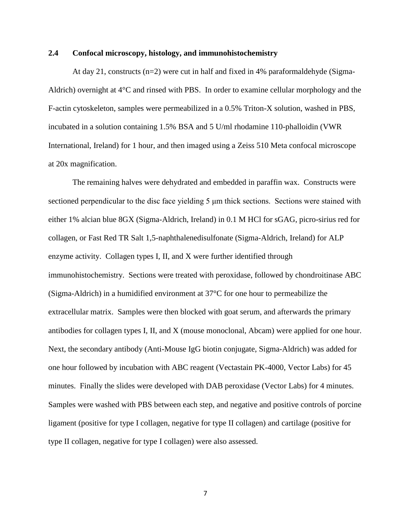### **2.4 Confocal microscopy, histology, and immunohistochemistry**

At day 21, constructs (n=2) were cut in half and fixed in 4% paraformaldehyde (Sigma-Aldrich) overnight at 4°C and rinsed with PBS. In order to examine cellular morphology and the F-actin cytoskeleton, samples were permeabilized in a 0.5% Triton-X solution, washed in PBS, incubated in a solution containing 1.5% BSA and 5 U/ml rhodamine 110-phalloidin (VWR International, Ireland) for 1 hour, and then imaged using a Zeiss 510 Meta confocal microscope at 20x magnification.

The remaining halves were dehydrated and embedded in paraffin wax. Constructs were sectioned perpendicular to the disc face yielding 5 μm thick sections. Sections were stained with either 1% alcian blue 8GX (Sigma-Aldrich, Ireland) in 0.1 M HCl for sGAG, picro-sirius red for collagen, or Fast Red TR Salt 1,5-naphthalenedisulfonate (Sigma-Aldrich, Ireland) for ALP enzyme activity. Collagen types I, II, and X were further identified through immunohistochemistry. Sections were treated with peroxidase, followed by chondroitinase ABC (Sigma-Aldrich) in a humidified environment at 37°C for one hour to permeabilize the extracellular matrix. Samples were then blocked with goat serum, and afterwards the primary antibodies for collagen types I, II, and X (mouse monoclonal, Abcam) were applied for one hour. Next, the secondary antibody (Anti-Mouse IgG biotin conjugate, Sigma-Aldrich) was added for one hour followed by incubation with ABC reagent (Vectastain PK-4000, Vector Labs) for 45 minutes. Finally the slides were developed with DAB peroxidase (Vector Labs) for 4 minutes. Samples were washed with PBS between each step, and negative and positive controls of porcine ligament (positive for type I collagen, negative for type II collagen) and cartilage (positive for type II collagen, negative for type I collagen) were also assessed.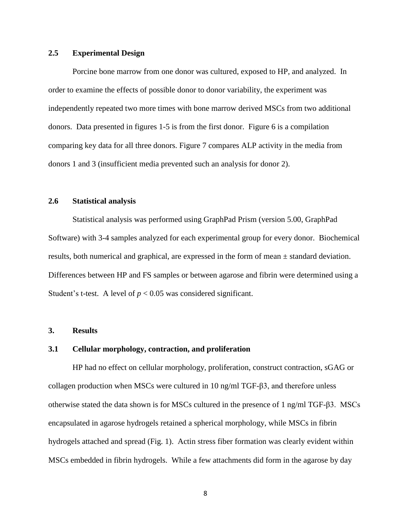### **2.5 Experimental Design**

Porcine bone marrow from one donor was cultured, exposed to HP, and analyzed. In order to examine the effects of possible donor to donor variability, the experiment was independently repeated two more times with bone marrow derived MSCs from two additional donors. Data presented in figures 1-5 is from the first donor. Figure 6 is a compilation comparing key data for all three donors. Figure 7 compares ALP activity in the media from donors 1 and 3 (insufficient media prevented such an analysis for donor 2).

## **2.6 Statistical analysis**

Statistical analysis was performed using GraphPad Prism (version 5.00, GraphPad Software) with 3-4 samples analyzed for each experimental group for every donor. Biochemical results, both numerical and graphical, are expressed in the form of mean  $\pm$  standard deviation. Differences between HP and FS samples or between agarose and fibrin were determined using a Student's t-test. A level of  $p < 0.05$  was considered significant.

#### **3. Results**

### **3.1 Cellular morphology, contraction, and proliferation**

HP had no effect on cellular morphology, proliferation, construct contraction, sGAG or collagen production when MSCs were cultured in 10 ng/ml TGF-β3, and therefore unless otherwise stated the data shown is for MSCs cultured in the presence of 1 ng/ml TGF-β3. MSCs encapsulated in agarose hydrogels retained a spherical morphology, while MSCs in fibrin hydrogels attached and spread (Fig. 1). Actin stress fiber formation was clearly evident within MSCs embedded in fibrin hydrogels. While a few attachments did form in the agarose by day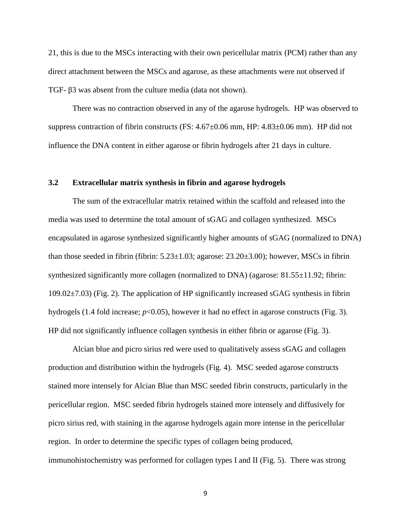21, this is due to the MSCs interacting with their own pericellular matrix (PCM) rather than any direct attachment between the MSCs and agarose, as these attachments were not observed if TGF- β3 was absent from the culture media (data not shown).

There was no contraction observed in any of the agarose hydrogels. HP was observed to suppress contraction of fibrin constructs (FS: 4.67±0.06 mm, HP: 4.83±0.06 mm). HP did not influence the DNA content in either agarose or fibrin hydrogels after 21 days in culture.

## **3.2 Extracellular matrix synthesis in fibrin and agarose hydrogels**

The sum of the extracellular matrix retained within the scaffold and released into the media was used to determine the total amount of sGAG and collagen synthesized. MSCs encapsulated in agarose synthesized significantly higher amounts of sGAG (normalized to DNA) than those seeded in fibrin (fibrin:  $5.23 \pm 1.03$ ; agarose:  $23.20 \pm 3.00$ ); however, MSCs in fibrin synthesized significantly more collagen (normalized to DNA) (agarose: 81.55±11.92; fibrin:  $109.02\pm7.03$ ) (Fig. 2). The application of HP significantly increased sGAG synthesis in fibrin hydrogels (1.4 fold increase;  $p<0.05$ ), however it had no effect in agarose constructs (Fig. 3). HP did not significantly influence collagen synthesis in either fibrin or agarose (Fig. 3).

Alcian blue and picro sirius red were used to qualitatively assess sGAG and collagen production and distribution within the hydrogels (Fig. 4). MSC seeded agarose constructs stained more intensely for Alcian Blue than MSC seeded fibrin constructs, particularly in the pericellular region. MSC seeded fibrin hydrogels stained more intensely and diffusively for picro sirius red, with staining in the agarose hydrogels again more intense in the pericellular region. In order to determine the specific types of collagen being produced, immunohistochemistry was performed for collagen types I and II (Fig. 5). There was strong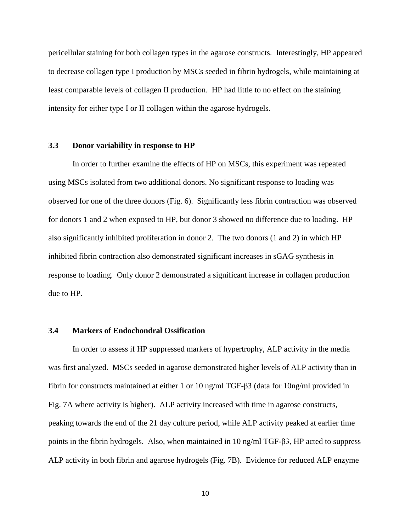pericellular staining for both collagen types in the agarose constructs. Interestingly, HP appeared to decrease collagen type I production by MSCs seeded in fibrin hydrogels, while maintaining at least comparable levels of collagen II production. HP had little to no effect on the staining intensity for either type I or II collagen within the agarose hydrogels.

### **3.3 Donor variability in response to HP**

In order to further examine the effects of HP on MSCs, this experiment was repeated using MSCs isolated from two additional donors. No significant response to loading was observed for one of the three donors (Fig. 6). Significantly less fibrin contraction was observed for donors 1 and 2 when exposed to HP, but donor 3 showed no difference due to loading. HP also significantly inhibited proliferation in donor 2. The two donors (1 and 2) in which HP inhibited fibrin contraction also demonstrated significant increases in sGAG synthesis in response to loading. Only donor 2 demonstrated a significant increase in collagen production due to HP.

## **3.4 Markers of Endochondral Ossification**

In order to assess if HP suppressed markers of hypertrophy, ALP activity in the media was first analyzed. MSCs seeded in agarose demonstrated higher levels of ALP activity than in fibrin for constructs maintained at either 1 or 10 ng/ml TGF-β3 (data for 10ng/ml provided in Fig. 7A where activity is higher). ALP activity increased with time in agarose constructs, peaking towards the end of the 21 day culture period, while ALP activity peaked at earlier time points in the fibrin hydrogels. Also, when maintained in 10 ng/ml TGF-β3, HP acted to suppress ALP activity in both fibrin and agarose hydrogels (Fig. 7B). Evidence for reduced ALP enzyme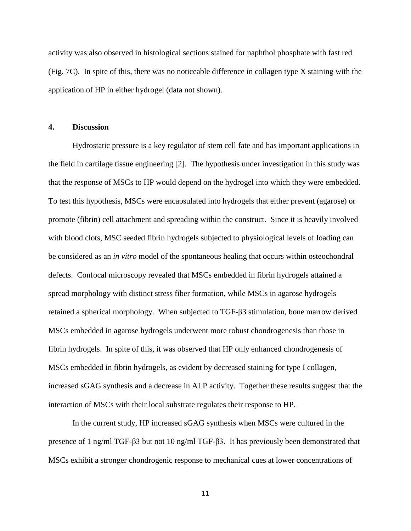activity was also observed in histological sections stained for naphthol phosphate with fast red (Fig. 7C). In spite of this, there was no noticeable difference in collagen type X staining with the application of HP in either hydrogel (data not shown).

### **4. Discussion**

Hydrostatic pressure is a key regulator of stem cell fate and has important applications in the field in cartilage tissue engineering [2]. The hypothesis under investigation in this study was that the response of MSCs to HP would depend on the hydrogel into which they were embedded. To test this hypothesis, MSCs were encapsulated into hydrogels that either prevent (agarose) or promote (fibrin) cell attachment and spreading within the construct. Since it is heavily involved with blood clots, MSC seeded fibrin hydrogels subjected to physiological levels of loading can be considered as an *in vitro* model of the spontaneous healing that occurs within osteochondral defects. Confocal microscopy revealed that MSCs embedded in fibrin hydrogels attained a spread morphology with distinct stress fiber formation, while MSCs in agarose hydrogels retained a spherical morphology. When subjected to TGF-β3 stimulation, bone marrow derived MSCs embedded in agarose hydrogels underwent more robust chondrogenesis than those in fibrin hydrogels. In spite of this, it was observed that HP only enhanced chondrogenesis of MSCs embedded in fibrin hydrogels, as evident by decreased staining for type I collagen, increased sGAG synthesis and a decrease in ALP activity. Together these results suggest that the interaction of MSCs with their local substrate regulates their response to HP.

In the current study, HP increased sGAG synthesis when MSCs were cultured in the presence of 1 ng/ml TGF-β3 but not 10 ng/ml TGF-β3. It has previously been demonstrated that MSCs exhibit a stronger chondrogenic response to mechanical cues at lower concentrations of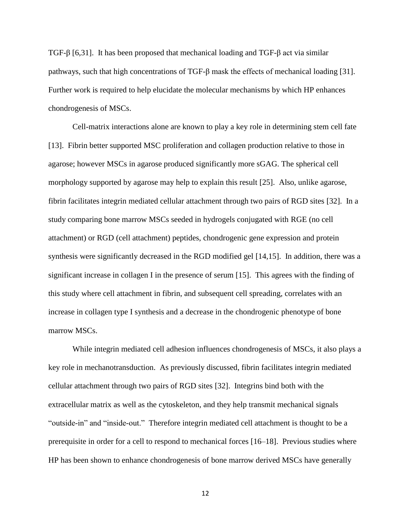TGF-β [6,31]. It has been proposed that mechanical loading and TGF-β act via similar pathways, such that high concentrations of TGF-β mask the effects of mechanical loading [31]. Further work is required to help elucidate the molecular mechanisms by which HP enhances chondrogenesis of MSCs.

Cell-matrix interactions alone are known to play a key role in determining stem cell fate [13]. Fibrin better supported MSC proliferation and collagen production relative to those in agarose; however MSCs in agarose produced significantly more sGAG. The spherical cell morphology supported by agarose may help to explain this result [25]. Also, unlike agarose, fibrin facilitates integrin mediated cellular attachment through two pairs of RGD sites [32]. In a study comparing bone marrow MSCs seeded in hydrogels conjugated with RGE (no cell attachment) or RGD (cell attachment) peptides, chondrogenic gene expression and protein synthesis were significantly decreased in the RGD modified gel [14,15]. In addition, there was a significant increase in collagen I in the presence of serum [15]. This agrees with the finding of this study where cell attachment in fibrin, and subsequent cell spreading, correlates with an increase in collagen type I synthesis and a decrease in the chondrogenic phenotype of bone marrow MSCs.

While integrin mediated cell adhesion influences chondrogenesis of MSCs, it also plays a key role in mechanotransduction. As previously discussed, fibrin facilitates integrin mediated cellular attachment through two pairs of RGD sites [32]. Integrins bind both with the extracellular matrix as well as the cytoskeleton, and they help transmit mechanical signals "outside-in" and "inside-out." Therefore integrin mediated cell attachment is thought to be a prerequisite in order for a cell to respond to mechanical forces [16–18]. Previous studies where HP has been shown to enhance chondrogenesis of bone marrow derived MSCs have generally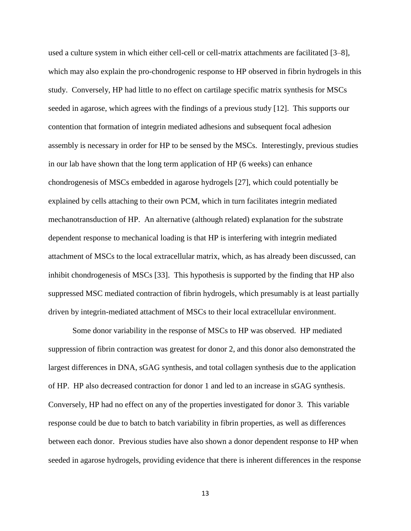used a culture system in which either cell-cell or cell-matrix attachments are facilitated [3–8], which may also explain the pro-chondrogenic response to HP observed in fibrin hydrogels in this study. Conversely, HP had little to no effect on cartilage specific matrix synthesis for MSCs seeded in agarose, which agrees with the findings of a previous study [12]. This supports our contention that formation of integrin mediated adhesions and subsequent focal adhesion assembly is necessary in order for HP to be sensed by the MSCs. Interestingly, previous studies in our lab have shown that the long term application of HP (6 weeks) can enhance chondrogenesis of MSCs embedded in agarose hydrogels [27], which could potentially be explained by cells attaching to their own PCM, which in turn facilitates integrin mediated mechanotransduction of HP. An alternative (although related) explanation for the substrate dependent response to mechanical loading is that HP is interfering with integrin mediated attachment of MSCs to the local extracellular matrix, which, as has already been discussed, can inhibit chondrogenesis of MSCs [33]. This hypothesis is supported by the finding that HP also suppressed MSC mediated contraction of fibrin hydrogels, which presumably is at least partially driven by integrin-mediated attachment of MSCs to their local extracellular environment.

Some donor variability in the response of MSCs to HP was observed. HP mediated suppression of fibrin contraction was greatest for donor 2, and this donor also demonstrated the largest differences in DNA, sGAG synthesis, and total collagen synthesis due to the application of HP. HP also decreased contraction for donor 1 and led to an increase in sGAG synthesis. Conversely, HP had no effect on any of the properties investigated for donor 3. This variable response could be due to batch to batch variability in fibrin properties, as well as differences between each donor. Previous studies have also shown a donor dependent response to HP when seeded in agarose hydrogels, providing evidence that there is inherent differences in the response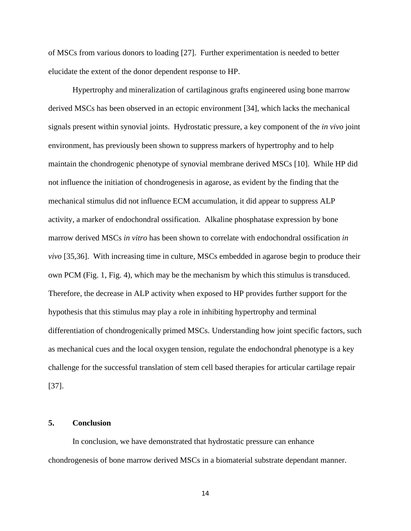of MSCs from various donors to loading [27]. Further experimentation is needed to better elucidate the extent of the donor dependent response to HP.

Hypertrophy and mineralization of cartilaginous grafts engineered using bone marrow derived MSCs has been observed in an ectopic environment [34], which lacks the mechanical signals present within synovial joints. Hydrostatic pressure, a key component of the *in vivo* joint environment, has previously been shown to suppress markers of hypertrophy and to help maintain the chondrogenic phenotype of synovial membrane derived MSCs [10]. While HP did not influence the initiation of chondrogenesis in agarose, as evident by the finding that the mechanical stimulus did not influence ECM accumulation, it did appear to suppress ALP activity, a marker of endochondral ossification. Alkaline phosphatase expression by bone marrow derived MSCs *in vitro* has been shown to correlate with endochondral ossification *in vivo* [35,36]. With increasing time in culture, MSCs embedded in agarose begin to produce their own PCM (Fig. 1, Fig. 4), which may be the mechanism by which this stimulus is transduced. Therefore, the decrease in ALP activity when exposed to HP provides further support for the hypothesis that this stimulus may play a role in inhibiting hypertrophy and terminal differentiation of chondrogenically primed MSCs. Understanding how joint specific factors, such as mechanical cues and the local oxygen tension, regulate the endochondral phenotype is a key challenge for the successful translation of stem cell based therapies for articular cartilage repair [37].

#### **5. Conclusion**

In conclusion, we have demonstrated that hydrostatic pressure can enhance chondrogenesis of bone marrow derived MSCs in a biomaterial substrate dependant manner.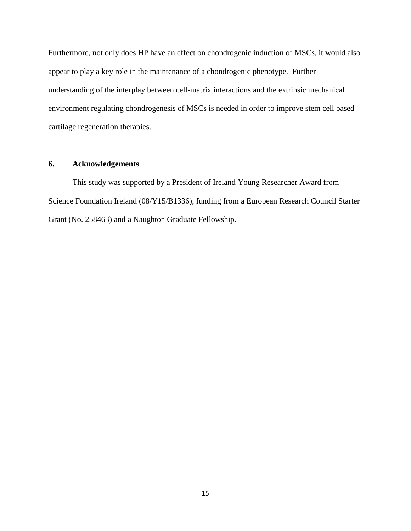Furthermore, not only does HP have an effect on chondrogenic induction of MSCs, it would also appear to play a key role in the maintenance of a chondrogenic phenotype. Further understanding of the interplay between cell-matrix interactions and the extrinsic mechanical environment regulating chondrogenesis of MSCs is needed in order to improve stem cell based cartilage regeneration therapies.

## **6. Acknowledgements**

This study was supported by a President of Ireland Young Researcher Award from Science Foundation Ireland (08/Y15/B1336), funding from a European Research Council Starter Grant (No. 258463) and a Naughton Graduate Fellowship.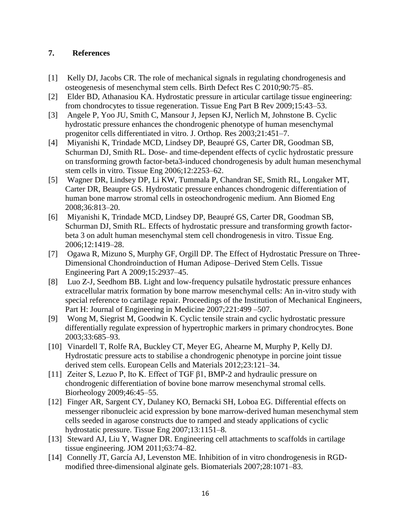# **7. References**

- [1] Kelly DJ, Jacobs CR. The role of mechanical signals in regulating chondrogenesis and osteogenesis of mesenchymal stem cells. Birth Defect Res C 2010;90:75–85.
- [2] Elder BD, Athanasiou KA. Hydrostatic pressure in articular cartilage tissue engineering: from chondrocytes to tissue regeneration. Tissue Eng Part B Rev 2009;15:43–53.
- [3] Angele P, Yoo JU, Smith C, Mansour J, Jepsen KJ, Nerlich M, Johnstone B. Cyclic hydrostatic pressure enhances the chondrogenic phenotype of human mesenchymal progenitor cells differentiated in vitro. J. Orthop. Res 2003;21:451–7.
- [4] Miyanishi K, Trindade MCD, Lindsey DP, Beaupré GS, Carter DR, Goodman SB, Schurman DJ, Smith RL. Dose- and time-dependent effects of cyclic hydrostatic pressure on transforming growth factor-beta3-induced chondrogenesis by adult human mesenchymal stem cells in vitro. Tissue Eng 2006;12:2253–62.
- [5] Wagner DR, Lindsey DP, Li KW, Tummala P, Chandran SE, Smith RL, Longaker MT, Carter DR, Beaupre GS. Hydrostatic pressure enhances chondrogenic differentiation of human bone marrow stromal cells in osteochondrogenic medium. Ann Biomed Eng 2008;36:813–20.
- [6] Miyanishi K, Trindade MCD, Lindsey DP, Beaupré GS, Carter DR, Goodman SB, Schurman DJ, Smith RL. Effects of hydrostatic pressure and transforming growth factorbeta 3 on adult human mesenchymal stem cell chondrogenesis in vitro. Tissue Eng. 2006;12:1419–28.
- [7] Ogawa R, Mizuno S, Murphy GF, Orgill DP. The Effect of Hydrostatic Pressure on Three-Dimensional Chondroinduction of Human Adipose–Derived Stem Cells. Tissue Engineering Part A 2009;15:2937–45.
- [8] Luo Z-J, Seedhom BB. Light and low-frequency pulsatile hydrostatic pressure enhances extracellular matrix formation by bone marrow mesenchymal cells: An in-vitro study with special reference to cartilage repair. Proceedings of the Institution of Mechanical Engineers, Part H: Journal of Engineering in Medicine 2007;221:499 –507.
- [9] Wong M, Siegrist M, Goodwin K. Cyclic tensile strain and cyclic hydrostatic pressure differentially regulate expression of hypertrophic markers in primary chondrocytes. Bone 2003;33:685–93.
- [10] Vinardell T, Rolfe RA, Buckley CT, Meyer EG, Ahearne M, Murphy P, Kelly DJ. Hydrostatic pressure acts to stabilise a chondrogenic phenotype in porcine joint tissue derived stem cells. European Cells and Materials 2012;23:121–34.
- [11] Zeiter S, Lezuo P, Ito K. Effect of TGF β1, BMP-2 and hydraulic pressure on chondrogenic differentiation of bovine bone marrow mesenchymal stromal cells. Biorheology 2009;46:45–55.
- [12] Finger AR, Sargent CY, Dulaney KO, Bernacki SH, Loboa EG. Differential effects on messenger ribonucleic acid expression by bone marrow-derived human mesenchymal stem cells seeded in agarose constructs due to ramped and steady applications of cyclic hydrostatic pressure. Tissue Eng 2007;13:1151–8.
- [13] Steward AJ, Liu Y, Wagner DR. Engineering cell attachments to scaffolds in cartilage tissue engineering. JOM 2011;63:74–82.
- [14] Connelly JT, García AJ, Levenston ME. Inhibition of in vitro chondrogenesis in RGDmodified three-dimensional alginate gels. Biomaterials 2007;28:1071–83.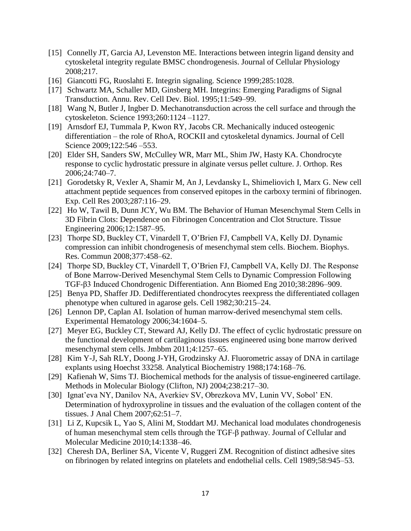- [15] Connelly JT, Garcia AJ, Levenston ME. Interactions between integrin ligand density and cytoskeletal integrity regulate BMSC chondrogenesis. Journal of Cellular Physiology 2008;217.
- [16] Giancotti FG, Ruoslahti E. Integrin signaling. Science 1999;285:1028.
- [17] Schwartz MA, Schaller MD, Ginsberg MH. Integrins: Emerging Paradigms of Signal Transduction. Annu. Rev. Cell Dev. Biol. 1995;11:549–99.
- [18] Wang N, Butler J, Ingber D. Mechanotransduction across the cell surface and through the cytoskeleton. Science 1993;260:1124 –1127.
- [19] Arnsdorf EJ, Tummala P, Kwon RY, Jacobs CR. Mechanically induced osteogenic differentiation – the role of RhoA, ROCKII and cytoskeletal dynamics. Journal of Cell Science 2009;122:546 – 553.
- [20] Elder SH, Sanders SW, McCulley WR, Marr ML, Shim JW, Hasty KA. Chondrocyte response to cyclic hydrostatic pressure in alginate versus pellet culture. J. Orthop. Res 2006;24:740–7.
- [21] Gorodetsky R, Vexler A, Shamir M, An J, Levdansky L, Shimeliovich I, Marx G. New cell attachment peptide sequences from conserved epitopes in the carboxy termini of fibrinogen. Exp. Cell Res 2003;287:116–29.
- [22] Ho W, Tawil B, Dunn JCY, Wu BM. The Behavior of Human Mesenchymal Stem Cells in 3D Fibrin Clots: Dependence on Fibrinogen Concentration and Clot Structure. Tissue Engineering 2006;12:1587–95.
- [23] Thorpe SD, Buckley CT, Vinardell T, O'Brien FJ, Campbell VA, Kelly DJ. Dynamic compression can inhibit chondrogenesis of mesenchymal stem cells. Biochem. Biophys. Res. Commun 2008;377:458–62.
- [24] Thorpe SD, Buckley CT, Vinardell T, O'Brien FJ, Campbell VA, Kelly DJ. The Response of Bone Marrow-Derived Mesenchymal Stem Cells to Dynamic Compression Following TGF-β3 Induced Chondrogenic Differentiation. Ann Biomed Eng 2010;38:2896–909.
- [25] Benya PD, Shaffer JD. Dedifferentiated chondrocytes reexpress the differentiated collagen phenotype when cultured in agarose gels. Cell 1982;30:215–24.
- [26] Lennon DP, Caplan AI. Isolation of human marrow-derived mesenchymal stem cells. Experimental Hematology 2006;34:1604–5.
- [27] Meyer EG, Buckley CT, Steward AJ, Kelly DJ. The effect of cyclic hydrostatic pressure on the functional development of cartilaginous tissues engineered using bone marrow derived mesenchymal stem cells. Jmbbm 2011;4:1257–65.
- [28] Kim Y-J, Sah RLY, Doong J-YH, Grodzinsky AJ. Fluorometric assay of DNA in cartilage explants using Hoechst 33258. Analytical Biochemistry 1988;174:168–76.
- [29] Kafienah W, Sims TJ. Biochemical methods for the analysis of tissue-engineered cartilage. Methods in Molecular Biology (Clifton, NJ) 2004;238:217–30.
- [30] Ignat'eva NY, Danilov NA, Averkiev SV, Obrezkova MV, Lunin VV, Sobol' EN. Determination of hydroxyproline in tissues and the evaluation of the collagen content of the tissues. J Anal Chem 2007;62:51–7.
- [31] Li Z, Kupcsik L, Yao S, Alini M, Stoddart MJ. Mechanical load modulates chondrogenesis of human mesenchymal stem cells through the TGF‐β pathway. Journal of Cellular and Molecular Medicine 2010;14:1338–46.
- [32] Cheresh DA, Berliner SA, Vicente V, Ruggeri ZM. Recognition of distinct adhesive sites on fibrinogen by related integrins on platelets and endothelial cells. Cell 1989;58:945–53.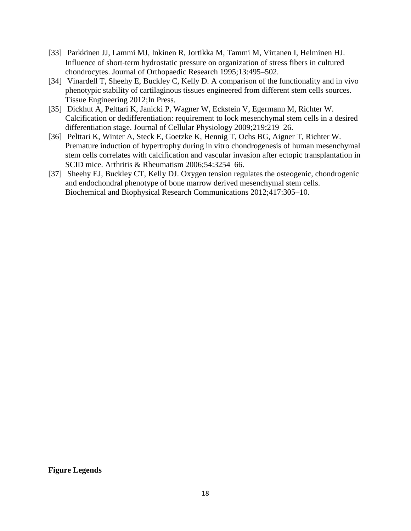- [33] Parkkinen JJ, Lammi MJ, Inkinen R, Jortikka M, Tammi M, Virtanen I, Helminen HJ. Influence of short‐term hydrostatic pressure on organization of stress fibers in cultured chondrocytes. Journal of Orthopaedic Research 1995;13:495–502.
- [34] Vinardell T, Sheehy E, Buckley C, Kelly D. A comparison of the functionality and in vivo phenotypic stability of cartilaginous tissues engineered from different stem cells sources. Tissue Engineering 2012;In Press.
- [35] Dickhut A, Pelttari K, Janicki P, Wagner W, Eckstein V, Egermann M, Richter W. Calcification or dedifferentiation: requirement to lock mesenchymal stem cells in a desired differentiation stage. Journal of Cellular Physiology 2009;219:219–26.
- [36] Pelttari K, Winter A, Steck E, Goetzke K, Hennig T, Ochs BG, Aigner T, Richter W. Premature induction of hypertrophy during in vitro chondrogenesis of human mesenchymal stem cells correlates with calcification and vascular invasion after ectopic transplantation in SCID mice. Arthritis & Rheumatism 2006;54:3254–66.
- [37] Sheehy EJ, Buckley CT, Kelly DJ. Oxygen tension regulates the osteogenic, chondrogenic and endochondral phenotype of bone marrow derived mesenchymal stem cells. Biochemical and Biophysical Research Communications 2012;417:305–10.

**Figure Legends**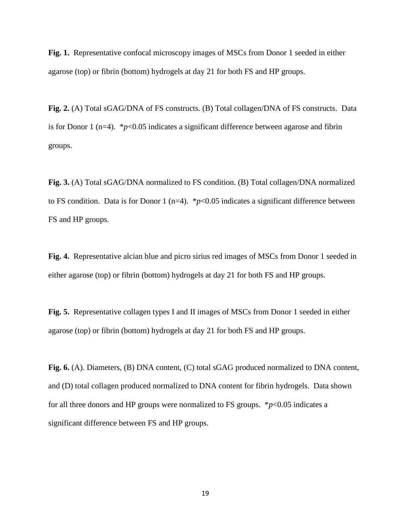**Fig. 1.** Representative confocal microscopy images of MSCs from Donor 1 seeded in either agarose (top) or fibrin (bottom) hydrogels at day 21 for both FS and HP groups.

**Fig. 2.** (A) Total sGAG/DNA of FS constructs. (B) Total collagen/DNA of FS constructs. Data is for Donor 1 ( $n=4$ ). \* $p<0.05$  indicates a significant difference between agarose and fibrin groups.

**Fig. 3.** (A) Total sGAG/DNA normalized to FS condition. (B) Total collagen/DNA normalized to FS condition. Data is for Donor 1 ( $n=4$ ).  $\frac{k}{2}$  /0.05 indicates a significant difference between FS and HP groups.

**Fig. 4.** Representative alcian blue and picro sirius red images of MSCs from Donor 1 seeded in either agarose (top) or fibrin (bottom) hydrogels at day 21 for both FS and HP groups.

**Fig. 5.** Representative collagen types I and II images of MSCs from Donor 1 seeded in either agarose (top) or fibrin (bottom) hydrogels at day 21 for both FS and HP groups.

**Fig. 6.** (A). Diameters, (B) DNA content, (C) total sGAG produced normalized to DNA content, and (D) total collagen produced normalized to DNA content for fibrin hydrogels. Data shown for all three donors and HP groups were normalized to FS groups.  $*_{p<0.05}$  indicates a significant difference between FS and HP groups.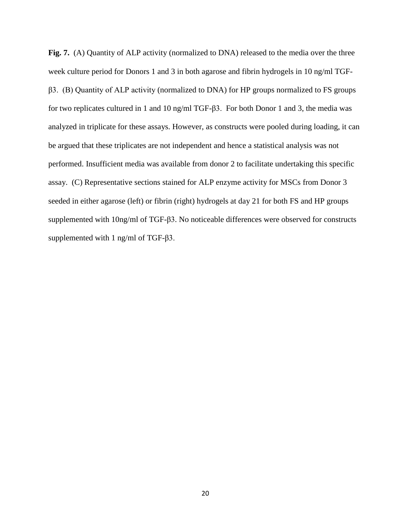Fig. 7. (A) Quantity of ALP activity (normalized to DNA) released to the media over the three week culture period for Donors 1 and 3 in both agarose and fibrin hydrogels in 10 ng/ml TGFβ3. (B) Quantity of ALP activity (normalized to DNA) for HP groups normalized to FS groups for two replicates cultured in 1 and 10 ng/ml TGF-β3. For both Donor 1 and 3, the media was analyzed in triplicate for these assays. However, as constructs were pooled during loading, it can be argued that these triplicates are not independent and hence a statistical analysis was not performed. Insufficient media was available from donor 2 to facilitate undertaking this specific assay. (C) Representative sections stained for ALP enzyme activity for MSCs from Donor 3 seeded in either agarose (left) or fibrin (right) hydrogels at day 21 for both FS and HP groups supplemented with 10ng/ml of TGF-β3. No noticeable differences were observed for constructs supplemented with 1 ng/ml of TGF-β3.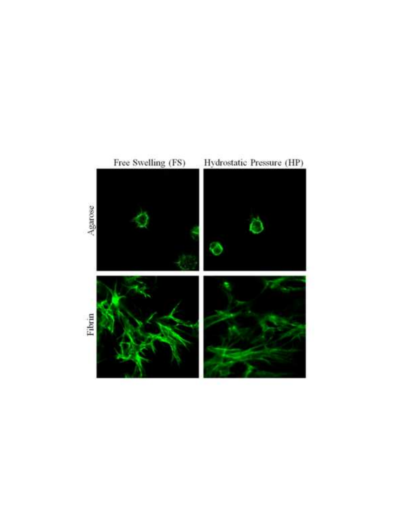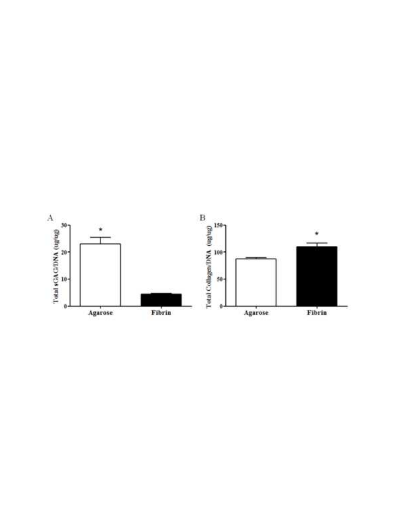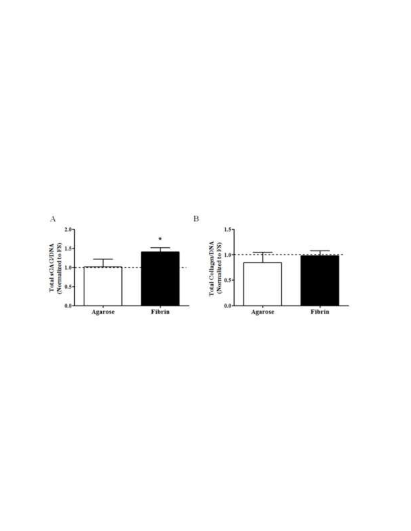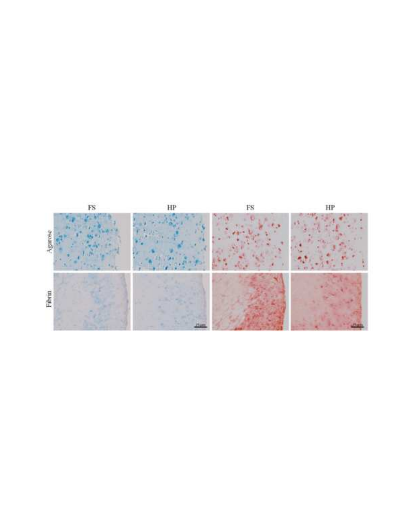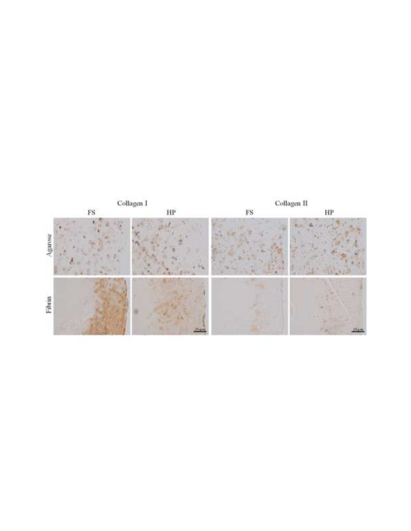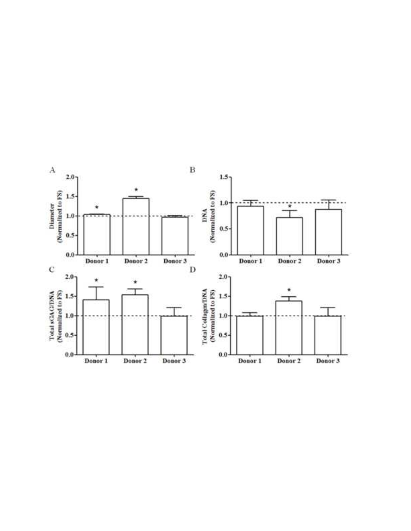